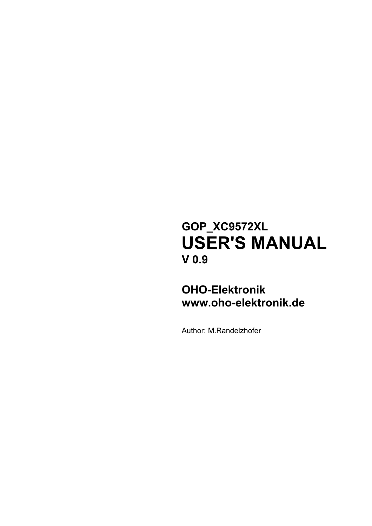# **GOP\_XC9572XL USER'S MANUAL V 0.9**

# **OHO-Elektronik www.oho-elektronik.de**

Author: M.Randelzhofer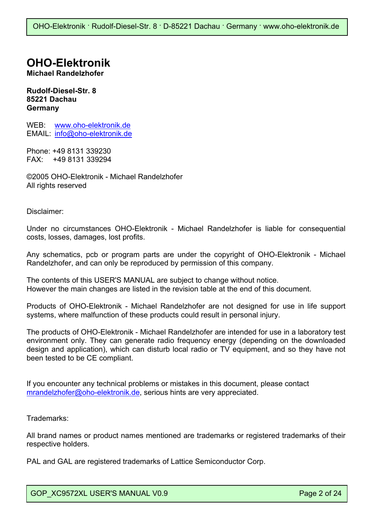### **OHO-Elektronik**

**Michael Randelzhofer** 

**Rudolf-Diesel-Str. 8 85221 Dachau Germany** 

WEB: www.oho-elektronik.de EMAIL: info@oho-elektronik.de

Phone: +49 8131 339230 FAX: +49 8131 339294

©2005 OHO-Elektronik - Michael Randelzhofer All rights reserved

Disclaimer:

Under no circumstances OHO-Elektronik - Michael Randelzhofer is liable for consequential costs, losses, damages, lost profits.

Any schematics, pcb or program parts are under the copyright of OHO-Elektronik - Michael Randelzhofer, and can only be reproduced by permission of this company.

The contents of this USER'S MANUAL are subject to change without notice. However the main changes are listed in the revision table at the end of this document.

Products of OHO-Elektronik - Michael Randelzhofer are not designed for use in life support systems, where malfunction of these products could result in personal injury.

The products of OHO-Elektronik - Michael Randelzhofer are intended for use in a laboratory test environment only. They can generate radio frequency energy (depending on the downloaded design and application), which can disturb local radio or TV equipment, and so they have not been tested to be CE compliant.

If you encounter any technical problems or mistakes in this document, please contact mrandelzhofer@oho-elektronik.de, serious hints are very appreciated.

Trademarks:

All brand names or product names mentioned are trademarks or registered trademarks of their respective holders.

PAL and GAL are registered trademarks of Lattice Semiconductor Corp.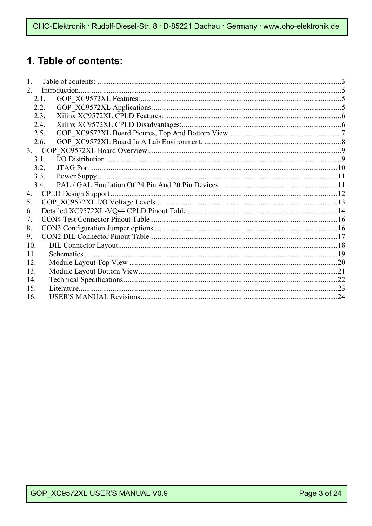# 1. Table of contents:

| $\mathbf{1}$ . |      |                      |  |
|----------------|------|----------------------|--|
| 2.             |      |                      |  |
|                | 2.1  |                      |  |
|                | 2.2. |                      |  |
|                | 2.3. |                      |  |
|                | 2.4. |                      |  |
|                | 2.5. |                      |  |
|                | 2.6. |                      |  |
|                |      |                      |  |
|                | 3.1. |                      |  |
|                | 3.2. |                      |  |
|                | 3.3. |                      |  |
|                | 3.4. |                      |  |
| 4.             |      | CPLD Design Support. |  |
| 5.             |      |                      |  |
| 6.             |      |                      |  |
| 7.             |      |                      |  |
| 8.             |      |                      |  |
| 9.             |      |                      |  |
| 10.            |      |                      |  |
| 11.            |      |                      |  |
| 12.            |      |                      |  |
| 13.            |      |                      |  |
| 14.            |      |                      |  |
| 15.            |      |                      |  |
| 16.            |      |                      |  |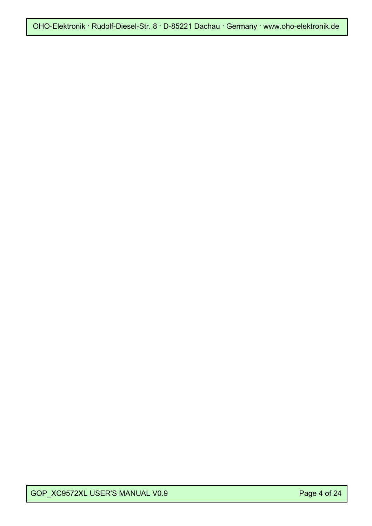OHO-Elektronik · Rudolf-Diesel-Str. 8 · D-85221 Dachau · Germany · www.oho-elektronik.de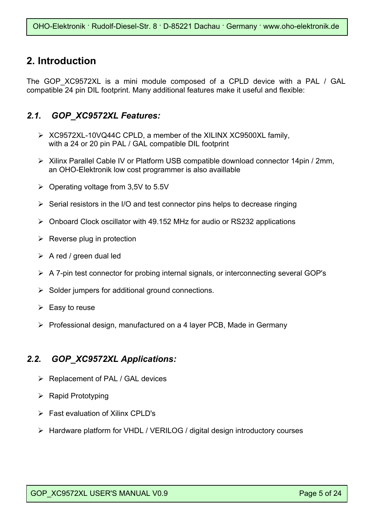### **2. Introduction**

The GOP XC9572XL is a mini module composed of a CPLD device with a PAL / GAL compatible 24 pin DIL footprint. Many additional features make it useful and flexible:

#### *2.1. GOP\_XC9572XL Features:*

- ¾ XC9572XL-10VQ44C CPLD, a member of the XILINX XC9500XL family, with a 24 or 20 pin PAL / GAL compatible DIL footprint
- ¾ Xilinx Parallel Cable IV or Platform USB compatible download connector 14pin / 2mm, an OHO-Elektronik low cost programmer is also availlable
- $\geq$  Operating voltage from 3,5V to 5.5V
- $\triangleright$  Serial resistors in the I/O and test connector pins helps to decrease ringing
- ¾ Onboard Clock oscillator with 49.152 MHz for audio or RS232 applications
- $\triangleright$  Reverse plug in protection
- $\triangleright$  A red / green dual led
- $\triangleright$  A 7-pin test connector for probing internal signals, or interconnecting several GOP's
- $\triangleright$  Solder jumpers for additional ground connections.
- $\triangleright$  Easy to reuse
- $\triangleright$  Professional design, manufactured on a 4 layer PCB, Made in Germany

#### *2.2. GOP\_XC9572XL Applications:*

- $\triangleright$  Replacement of PAL / GAL devices
- $\triangleright$  Rapid Prototyping
- $\triangleright$  Fast evaluation of Xilinx CPLD's
- ¾ Hardware platform for VHDL / VERILOG / digital design introductory courses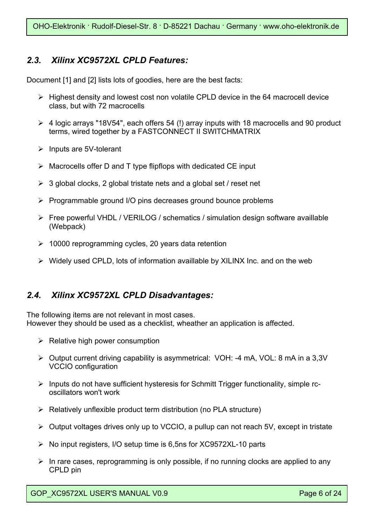#### *2.3. Xilinx XC9572XL CPLD Features:*

Document [1] and [2] lists lots of goodies, here are the best facts:

- $\triangleright$  Highest density and lowest cost non volatile CPLD device in the 64 macrocell device class, but with 72 macrocells
- ¾ 4 logic arrays "18V54", each offers 54 (!) array inputs with 18 macrocells and 90 product terms, wired together by a FASTCONNECT II SWITCHMATRIX
- $\triangleright$  Inputs are 5V-tolerant
- $\triangleright$  Macrocells offer D and T type flipflops with dedicated CE input
- $\geq 3$  global clocks, 2 global tristate nets and a global set / reset net
- ¾ Programmable ground I/O pins decreases ground bounce problems
- ¾ Free powerful VHDL / VERILOG / schematics / simulation design software availlable (Webpack)
- $\geq 10000$  reprogramming cycles, 20 years data retention
- $\triangleright$  Widely used CPLD, lots of information availlable by XILINX Inc. and on the web

#### *2.4. Xilinx XC9572XL CPLD Disadvantages:*

The following items are not relevant in most cases. However they should be used as a checklist, wheather an application is affected.

- $\triangleright$  Relative high power consumption
- ¾ Output current driving capability is asymmetrical: VOH: -4 mA, VOL: 8 mA in a 3,3V VCCIO configuration
- $\triangleright$  Inputs do not have sufficient hysteresis for Schmitt Trigger functionality, simple rcoscillators won't work
- $\triangleright$  Relatively unflexible product term distribution (no PLA structure)
- ¾ Output voltages drives only up to VCCIO, a pullup can not reach 5V, except in tristate
- $\triangleright$  No input registers, I/O setup time is 6,5ns for XC9572XL-10 parts
- $\triangleright$  In rare cases, reprogramming is only possible, if no running clocks are applied to any CPLD pin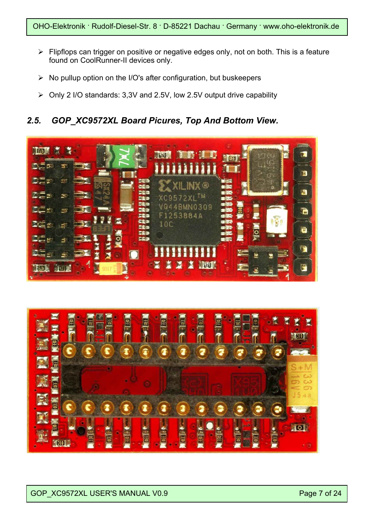- $\triangleright$  Flipflops can trigger on positive or negative edges only, not on both. This is a feature found on CoolRunner-II devices only.
- $\triangleright$  No pullup option on the I/O's after configuration, but buskeepers
- ¾ Only 2 I/O standards: 3,3V and 2.5V, low 2.5V output drive capability

### *2.5. GOP\_XC9572XL Board Picures, Top And Bottom View.*



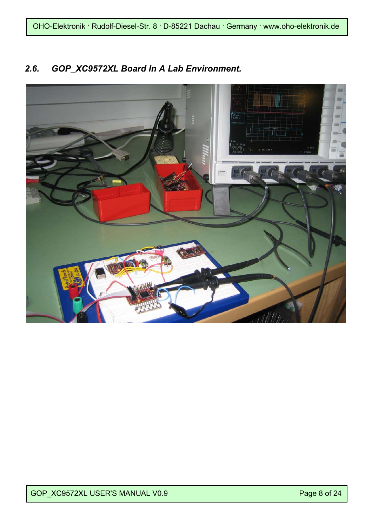

# *2.6. GOP\_XC9572XL Board In A Lab Environment.*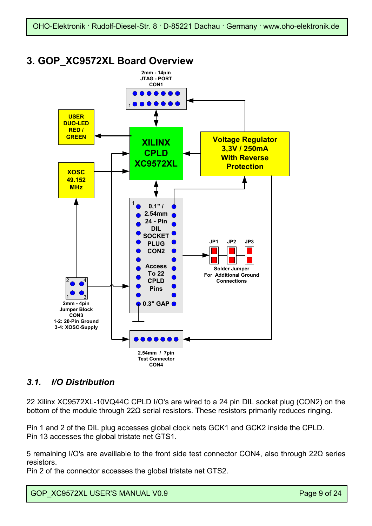

### **3. GOP\_XC9572XL Board Overview**

#### *3.1. I/O Distribution*

22 Xilinx XC9572XL-10VQ44C CPLD I/O's are wired to a 24 pin DIL socket plug (CON2) on the bottom of the module through 22Ω serial resistors. These resistors primarily reduces ringing.

Pin 1 and 2 of the DIL plug accesses global clock nets GCK1 and GCK2 inside the CPLD. Pin 13 accesses the global tristate net GTS1.

5 remaining I/O's are availlable to the front side test connector CON4, also through 22Ω series resistors.

Pin 2 of the connector accesses the global tristate net GTS2.

```
GOP_XC9572XL USER'S MANUAL V0.9 Page 9 of 24
```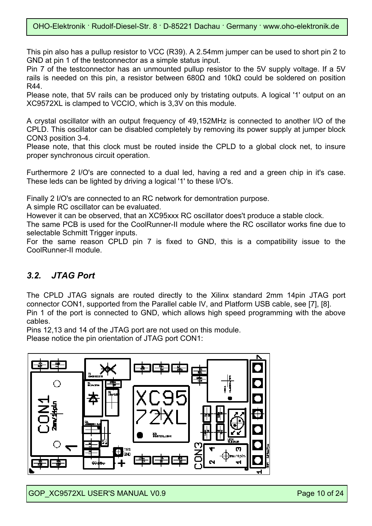This pin also has a pullup resistor to VCC (R39). A 2.54mm jumper can be used to short pin 2 to GND at pin 1 of the testconnector as a simple status input.

Pin 7 of the testconnector has an unmounted pullup resistor to the 5V supply voltage. If a 5V rails is needed on this pin, a resistor between 680Ω and 10kΩ could be soldered on position R44.

Please note, that 5V rails can be produced only by tristating outputs. A logical '1' output on an XC9572XL is clamped to VCCIO, which is 3,3V on this module.

A crystal oscillator with an output frequency of 49,152MHz is connected to another I/O of the CPLD. This oscillator can be disabled completely by removing its power supply at jumper block CON3 position 3-4.

Please note, that this clock must be routed inside the CPLD to a global clock net, to insure proper synchronous circuit operation.

Furthermore 2 I/O's are connected to a dual led, having a red and a green chip in it's case. These leds can be lighted by driving a logical '1' to these I/O's.

Finally 2 I/O's are connected to an RC network for demontration purpose.

A simple RC oscillator can be evaluated.

However it can be observed, that an XC95xxx RC oscillator does't produce a stable clock.

The same PCB is used for the CoolRunner-II module where the RC oscillator works fine due to selectable Schmitt Trigger inputs.

For the same reason CPLD pin 7 is fixed to GND, this is a compatibility issue to the CoolRunner-II module.

#### *3.2. JTAG Port*

The CPLD JTAG signals are routed directly to the Xilinx standard 2mm 14pin JTAG port connector CON1, supported from the Parallel cable IV, and Platform USB cable, see [7], [8]. Pin 1 of the port is connected to GND, which allows high speed programming with the above cables.

Pins 12,13 and 14 of the JTAG port are not used on this module.

Please notice the pin orientation of JTAG port CON1:

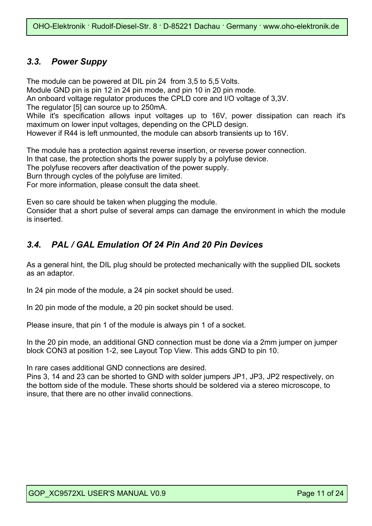#### *3.3. Power Suppy*

The module can be powered at DIL pin 24 from 3,5 to 5,5 Volts.

Module GND pin is pin 12 in 24 pin mode, and pin 10 in 20 pin mode.

An onboard voltage regulator produces the CPLD core and I/O voltage of 3,3V.

The regulator [5] can source up to 250mA.

While it's specification allows input voltages up to 16V, power dissipation can reach it's maximum on lower input voltages, depending on the CPLD design.

However if R44 is left unmounted, the module can absorb transients up to 16V.

The module has a protection against reverse insertion, or reverse power connection. In that case, the protection shorts the power supply by a polyfuse device. The polyfuse recovers after deactivation of the power supply. Burn through cycles of the polyfuse are limited.

For more information, please consult the data sheet.

Even so care should be taken when plugging the module.

Consider that a short pulse of several amps can damage the environment in which the module is inserted.

#### *3.4. PAL / GAL Emulation Of 24 Pin And 20 Pin Devices*

As a general hint, the DIL plug should be protected mechanically with the supplied DIL sockets as an adaptor.

In 24 pin mode of the module, a 24 pin socket should be used.

In 20 pin mode of the module, a 20 pin socket should be used.

Please insure, that pin 1 of the module is always pin 1 of a socket.

In the 20 pin mode, an additional GND connection must be done via a 2mm jumper on jumper block CON3 at position 1-2, see Layout Top View. This adds GND to pin 10.

In rare cases additional GND connections are desired.

Pins 3, 14 and 23 can be shorted to GND with solder jumpers JP1, JP3, JP2 respectively, on the bottom side of the module. These shorts should be soldered via a stereo microscope, to insure, that there are no other invalid connections.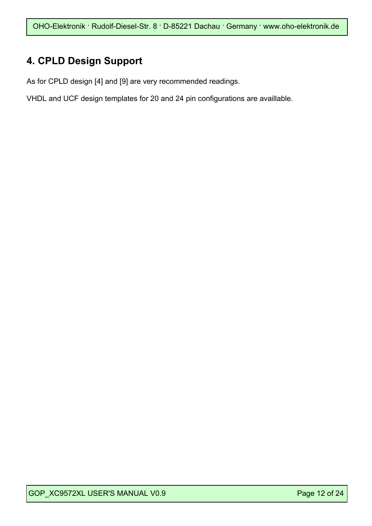### **4. CPLD Design Support**

As for CPLD design [4] and [9] are very recommended readings.

VHDL and UCF design templates for 20 and 24 pin configurations are availlable.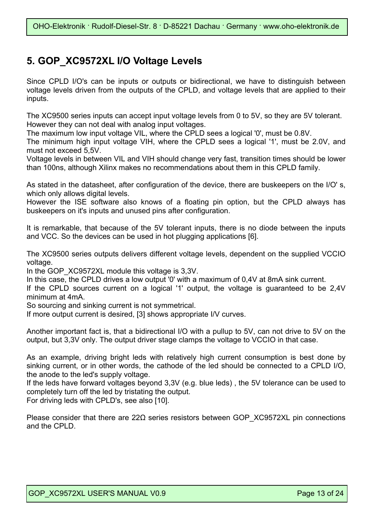### **5. GOP\_XC9572XL I/O Voltage Levels**

Since CPLD I/O's can be inputs or outputs or bidirectional, we have to distinguish between voltage levels driven from the outputs of the CPLD, and voltage levels that are applied to their inputs.

The XC9500 series inputs can accept input voltage levels from 0 to 5V, so they are 5V tolerant. However they can not deal with analog input voltages.

The maximum low input voltage VIL, where the CPLD sees a logical '0', must be 0.8V.

The minimum high input voltage VIH, where the CPLD sees a logical '1', must be 2.0V, and must not exceed 5,5V.

Voltage levels in between VIL and VIH should change very fast, transition times should be lower than 100ns, although Xilinx makes no recommendations about them in this CPLD family.

As stated in the datasheet, after configuration of the device, there are buskeepers on the I/O' s, which only allows digital levels.

However the ISE software also knows of a floating pin option, but the CPLD always has buskeepers on it's inputs and unused pins after configuration.

It is remarkable, that because of the 5V tolerant inputs, there is no diode between the inputs and VCC. So the devices can be used in hot plugging applications [6].

The XC9500 series outputs delivers different voltage levels, dependent on the supplied VCCIO voltage.

In the GOP XC9572XL module this voltage is 3,3V.

In this case, the CPLD drives a low output '0' with a maximum of 0,4V at 8mA sink current.

If the CPLD sources current on a logical '1' output, the voltage is guaranteed to be 2,4V minimum at 4mA.

So sourcing and sinking current is not symmetrical.

If more output current is desired, [3] shows appropriate I/V curves.

Another important fact is, that a bidirectional I/O with a pullup to 5V, can not drive to 5V on the output, but 3,3V only. The output driver stage clamps the voltage to VCCIO in that case.

As an example, driving bright leds with relatively high current consumption is best done by sinking current, or in other words, the cathode of the led should be connected to a CPLD I/O, the anode to the led's supply voltage.

If the leds have forward voltages beyond 3,3V (e.g. blue leds) , the 5V tolerance can be used to completely turn off the led by tristating the output.

For driving leds with CPLD's, see also [10].

Please consider that there are  $22\Omega$  series resistors between GOP\_XC9572XL pin connections and the CPLD.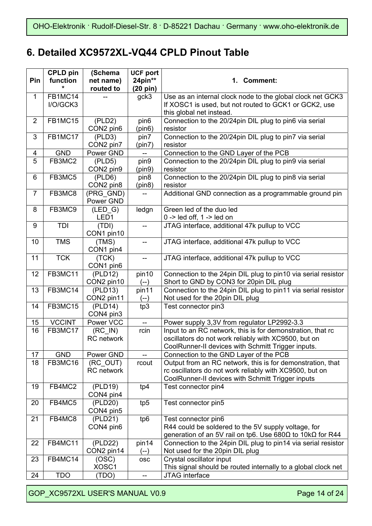### **6. Detailed XC9572XL-VQ44 CPLD Pinout Table**

| routed to<br>$(20 \text{ pin})$<br>FB1MC14<br>Use as an internal clock node to the global clock net GCK3<br>$\mathbf{1}$<br>gck3<br>I/O/GCK3<br>If XOSC1 is used, but not routed to GCK1 or GCK2, use<br>this global net instead.<br>FB1MC15<br>Connection to the 20/24pin DIL plug to pin6 via serial<br>$\overline{2}$<br>(PLD2)<br>pin <sub>6</sub><br>CON2 pin6<br>resistor<br>(pin6)<br>Connection to the 20/24pin DIL plug to pin7 via serial<br>3<br>FB1MC17<br>(PLD3)<br>pin7<br>CON2 pin7<br>resistor<br>(pin7)<br><b>GND</b><br>Power GND<br>Connection to the GND Layer of the PCB<br>4<br>--<br>5<br>FB3MC2<br>Connection to the 20/24pin DIL plug to pin9 via serial<br>pin9<br>(PLD5)<br>CON2 pin9<br>resistor<br>(pin9)<br>6<br>FB3MC5<br>Connection to the 20/24pin DIL plug to pin8 via serial<br>(PLD6)<br>pin <sub>8</sub><br>CON2 pin8<br>(pin8)<br>resistor<br>FB3MC8<br>Additional GND connection as a programmable ground pin<br>$\overline{7}$<br>(PRG GND)<br>Power GND<br>FB3MC9<br>Green led of the duo led<br>8<br>$(LED _G)$<br>ledgn<br>LED <sub>1</sub><br>$0$ -> led off, 1 -> led on<br>TDI<br>JTAG interface, additional 47k pullup to VCC<br>9<br>(TDI)<br>$\overline{\phantom{a}}$<br>CON1 pin10<br><b>TMS</b><br>JTAG interface, additional 47k pullup to VCC<br>(TMS)<br>10<br>$- -$<br>CON1 pin4<br><b>TCK</b><br>11<br>JTAG interface, additional 47k pullup to VCC<br>(TCK)<br>--<br>CON1 pin6<br>FB3MC11<br>Connection to the 24pin DIL plug to pin10 via serial resistor<br>12<br>(PLD12)<br>pin10<br>CON2 pin10<br>Short to GND by CON3 for 20pin DIL plug<br>$(--)$<br>FB3MC14<br>Connection to the 24pin DIL plug to pin11 via serial resistor<br>13<br>pin11<br>(PLD13)<br>CON2 pin11<br>Not used for the 20pin DIL plug<br>$(--)$<br>FB3MC15<br>14<br>(PLD14)<br>Test connector pin3<br>tp3<br>CON4 pin3<br><b>VCCINT</b><br>15<br>Power VCC<br>Power supply 3,3V from regulator LP2992-3.3<br>--<br>Input to an RC network, this is for demonstration, that rc<br>16<br>FB3MC17<br>$(RC_IN)$<br>rcin<br>oscillators do not work reliably with XC9500, but on<br>RC network<br>CoolRunner-II devices with Schmitt Trigger inputs.<br><b>GND</b><br>Power GND<br>Connection to the GND Layer of the PCB<br>17<br>$-$<br>18<br>FB3MC16<br>Output from an RC network, this is for demonstration, that<br>(RC OUT)<br>rcout<br>rc oscillators do not work reliably with XC9500, but on<br><b>RC</b> network<br>CoolRunner-II devices with Schmitt Trigger inputs<br>FB4MC2<br>(PLD19)<br>19<br>tp4<br>Test connector pin4<br>CON4 pin4<br>FB4MC5<br>(PLD20)<br>Test connector pin5<br>20<br>tp <sub>5</sub><br>CON4 pin5<br>21<br>FB4MC8<br>(PLD21)<br>tp6<br>Test connector pin6<br>CON4 pin6<br>R44 could be soldered to the 5V supply voltage, for<br>generation of an 5V rail on tp6. Use 680Ω to 10kΩ for R44<br>FB4MC11<br>pin14<br>Connection to the 24pin DIL plug to pin14 via serial resistor<br>22<br>(PLD22)<br>CON2 pin14<br>Not used for the 20pin DIL plug<br>$(--)$<br>FB4MC14<br>Crystal oscillator input<br>(OSC)<br>23<br><b>OSC</b><br>XOSC1<br>This signal should be routed internally to a global clock net | Pin | <b>CPLD</b> pin<br>function | (Schema<br>net name) | <b>UCF port</b><br>24pin** | 1. Comment:    |
|-------------------------------------------------------------------------------------------------------------------------------------------------------------------------------------------------------------------------------------------------------------------------------------------------------------------------------------------------------------------------------------------------------------------------------------------------------------------------------------------------------------------------------------------------------------------------------------------------------------------------------------------------------------------------------------------------------------------------------------------------------------------------------------------------------------------------------------------------------------------------------------------------------------------------------------------------------------------------------------------------------------------------------------------------------------------------------------------------------------------------------------------------------------------------------------------------------------------------------------------------------------------------------------------------------------------------------------------------------------------------------------------------------------------------------------------------------------------------------------------------------------------------------------------------------------------------------------------------------------------------------------------------------------------------------------------------------------------------------------------------------------------------------------------------------------------------------------------------------------------------------------------------------------------------------------------------------------------------------------------------------------------------------------------------------------------------------------------------------------------------------------------------------------------------------------------------------------------------------------------------------------------------------------------------------------------------------------------------------------------------------------------------------------------------------------------------------------------------------------------------------------------------------------------------------------------------------------------------------------------------------------------------------------------------------------------------------------------------------------------------------------------------------------------------------------------------------------------------------------------------------------------------------------------------------------------------------------------------------------------------------------------------------------------------------------------------------------------------------------------------------------------------------------------------------|-----|-----------------------------|----------------------|----------------------------|----------------|
|                                                                                                                                                                                                                                                                                                                                                                                                                                                                                                                                                                                                                                                                                                                                                                                                                                                                                                                                                                                                                                                                                                                                                                                                                                                                                                                                                                                                                                                                                                                                                                                                                                                                                                                                                                                                                                                                                                                                                                                                                                                                                                                                                                                                                                                                                                                                                                                                                                                                                                                                                                                                                                                                                                                                                                                                                                                                                                                                                                                                                                                                                                                                                                               |     |                             |                      |                            |                |
|                                                                                                                                                                                                                                                                                                                                                                                                                                                                                                                                                                                                                                                                                                                                                                                                                                                                                                                                                                                                                                                                                                                                                                                                                                                                                                                                                                                                                                                                                                                                                                                                                                                                                                                                                                                                                                                                                                                                                                                                                                                                                                                                                                                                                                                                                                                                                                                                                                                                                                                                                                                                                                                                                                                                                                                                                                                                                                                                                                                                                                                                                                                                                                               |     |                             |                      |                            |                |
|                                                                                                                                                                                                                                                                                                                                                                                                                                                                                                                                                                                                                                                                                                                                                                                                                                                                                                                                                                                                                                                                                                                                                                                                                                                                                                                                                                                                                                                                                                                                                                                                                                                                                                                                                                                                                                                                                                                                                                                                                                                                                                                                                                                                                                                                                                                                                                                                                                                                                                                                                                                                                                                                                                                                                                                                                                                                                                                                                                                                                                                                                                                                                                               |     |                             |                      |                            |                |
|                                                                                                                                                                                                                                                                                                                                                                                                                                                                                                                                                                                                                                                                                                                                                                                                                                                                                                                                                                                                                                                                                                                                                                                                                                                                                                                                                                                                                                                                                                                                                                                                                                                                                                                                                                                                                                                                                                                                                                                                                                                                                                                                                                                                                                                                                                                                                                                                                                                                                                                                                                                                                                                                                                                                                                                                                                                                                                                                                                                                                                                                                                                                                                               |     |                             |                      |                            |                |
|                                                                                                                                                                                                                                                                                                                                                                                                                                                                                                                                                                                                                                                                                                                                                                                                                                                                                                                                                                                                                                                                                                                                                                                                                                                                                                                                                                                                                                                                                                                                                                                                                                                                                                                                                                                                                                                                                                                                                                                                                                                                                                                                                                                                                                                                                                                                                                                                                                                                                                                                                                                                                                                                                                                                                                                                                                                                                                                                                                                                                                                                                                                                                                               |     |                             |                      |                            |                |
|                                                                                                                                                                                                                                                                                                                                                                                                                                                                                                                                                                                                                                                                                                                                                                                                                                                                                                                                                                                                                                                                                                                                                                                                                                                                                                                                                                                                                                                                                                                                                                                                                                                                                                                                                                                                                                                                                                                                                                                                                                                                                                                                                                                                                                                                                                                                                                                                                                                                                                                                                                                                                                                                                                                                                                                                                                                                                                                                                                                                                                                                                                                                                                               |     |                             |                      |                            |                |
|                                                                                                                                                                                                                                                                                                                                                                                                                                                                                                                                                                                                                                                                                                                                                                                                                                                                                                                                                                                                                                                                                                                                                                                                                                                                                                                                                                                                                                                                                                                                                                                                                                                                                                                                                                                                                                                                                                                                                                                                                                                                                                                                                                                                                                                                                                                                                                                                                                                                                                                                                                                                                                                                                                                                                                                                                                                                                                                                                                                                                                                                                                                                                                               |     |                             |                      |                            |                |
|                                                                                                                                                                                                                                                                                                                                                                                                                                                                                                                                                                                                                                                                                                                                                                                                                                                                                                                                                                                                                                                                                                                                                                                                                                                                                                                                                                                                                                                                                                                                                                                                                                                                                                                                                                                                                                                                                                                                                                                                                                                                                                                                                                                                                                                                                                                                                                                                                                                                                                                                                                                                                                                                                                                                                                                                                                                                                                                                                                                                                                                                                                                                                                               |     |                             |                      |                            |                |
|                                                                                                                                                                                                                                                                                                                                                                                                                                                                                                                                                                                                                                                                                                                                                                                                                                                                                                                                                                                                                                                                                                                                                                                                                                                                                                                                                                                                                                                                                                                                                                                                                                                                                                                                                                                                                                                                                                                                                                                                                                                                                                                                                                                                                                                                                                                                                                                                                                                                                                                                                                                                                                                                                                                                                                                                                                                                                                                                                                                                                                                                                                                                                                               |     |                             |                      |                            |                |
|                                                                                                                                                                                                                                                                                                                                                                                                                                                                                                                                                                                                                                                                                                                                                                                                                                                                                                                                                                                                                                                                                                                                                                                                                                                                                                                                                                                                                                                                                                                                                                                                                                                                                                                                                                                                                                                                                                                                                                                                                                                                                                                                                                                                                                                                                                                                                                                                                                                                                                                                                                                                                                                                                                                                                                                                                                                                                                                                                                                                                                                                                                                                                                               |     |                             |                      |                            |                |
|                                                                                                                                                                                                                                                                                                                                                                                                                                                                                                                                                                                                                                                                                                                                                                                                                                                                                                                                                                                                                                                                                                                                                                                                                                                                                                                                                                                                                                                                                                                                                                                                                                                                                                                                                                                                                                                                                                                                                                                                                                                                                                                                                                                                                                                                                                                                                                                                                                                                                                                                                                                                                                                                                                                                                                                                                                                                                                                                                                                                                                                                                                                                                                               |     |                             |                      |                            |                |
|                                                                                                                                                                                                                                                                                                                                                                                                                                                                                                                                                                                                                                                                                                                                                                                                                                                                                                                                                                                                                                                                                                                                                                                                                                                                                                                                                                                                                                                                                                                                                                                                                                                                                                                                                                                                                                                                                                                                                                                                                                                                                                                                                                                                                                                                                                                                                                                                                                                                                                                                                                                                                                                                                                                                                                                                                                                                                                                                                                                                                                                                                                                                                                               |     |                             |                      |                            |                |
|                                                                                                                                                                                                                                                                                                                                                                                                                                                                                                                                                                                                                                                                                                                                                                                                                                                                                                                                                                                                                                                                                                                                                                                                                                                                                                                                                                                                                                                                                                                                                                                                                                                                                                                                                                                                                                                                                                                                                                                                                                                                                                                                                                                                                                                                                                                                                                                                                                                                                                                                                                                                                                                                                                                                                                                                                                                                                                                                                                                                                                                                                                                                                                               |     |                             |                      |                            |                |
|                                                                                                                                                                                                                                                                                                                                                                                                                                                                                                                                                                                                                                                                                                                                                                                                                                                                                                                                                                                                                                                                                                                                                                                                                                                                                                                                                                                                                                                                                                                                                                                                                                                                                                                                                                                                                                                                                                                                                                                                                                                                                                                                                                                                                                                                                                                                                                                                                                                                                                                                                                                                                                                                                                                                                                                                                                                                                                                                                                                                                                                                                                                                                                               |     |                             |                      |                            |                |
|                                                                                                                                                                                                                                                                                                                                                                                                                                                                                                                                                                                                                                                                                                                                                                                                                                                                                                                                                                                                                                                                                                                                                                                                                                                                                                                                                                                                                                                                                                                                                                                                                                                                                                                                                                                                                                                                                                                                                                                                                                                                                                                                                                                                                                                                                                                                                                                                                                                                                                                                                                                                                                                                                                                                                                                                                                                                                                                                                                                                                                                                                                                                                                               |     |                             |                      |                            |                |
|                                                                                                                                                                                                                                                                                                                                                                                                                                                                                                                                                                                                                                                                                                                                                                                                                                                                                                                                                                                                                                                                                                                                                                                                                                                                                                                                                                                                                                                                                                                                                                                                                                                                                                                                                                                                                                                                                                                                                                                                                                                                                                                                                                                                                                                                                                                                                                                                                                                                                                                                                                                                                                                                                                                                                                                                                                                                                                                                                                                                                                                                                                                                                                               |     |                             |                      |                            |                |
|                                                                                                                                                                                                                                                                                                                                                                                                                                                                                                                                                                                                                                                                                                                                                                                                                                                                                                                                                                                                                                                                                                                                                                                                                                                                                                                                                                                                                                                                                                                                                                                                                                                                                                                                                                                                                                                                                                                                                                                                                                                                                                                                                                                                                                                                                                                                                                                                                                                                                                                                                                                                                                                                                                                                                                                                                                                                                                                                                                                                                                                                                                                                                                               |     |                             |                      |                            |                |
|                                                                                                                                                                                                                                                                                                                                                                                                                                                                                                                                                                                                                                                                                                                                                                                                                                                                                                                                                                                                                                                                                                                                                                                                                                                                                                                                                                                                                                                                                                                                                                                                                                                                                                                                                                                                                                                                                                                                                                                                                                                                                                                                                                                                                                                                                                                                                                                                                                                                                                                                                                                                                                                                                                                                                                                                                                                                                                                                                                                                                                                                                                                                                                               |     |                             |                      |                            |                |
|                                                                                                                                                                                                                                                                                                                                                                                                                                                                                                                                                                                                                                                                                                                                                                                                                                                                                                                                                                                                                                                                                                                                                                                                                                                                                                                                                                                                                                                                                                                                                                                                                                                                                                                                                                                                                                                                                                                                                                                                                                                                                                                                                                                                                                                                                                                                                                                                                                                                                                                                                                                                                                                                                                                                                                                                                                                                                                                                                                                                                                                                                                                                                                               |     |                             |                      |                            |                |
|                                                                                                                                                                                                                                                                                                                                                                                                                                                                                                                                                                                                                                                                                                                                                                                                                                                                                                                                                                                                                                                                                                                                                                                                                                                                                                                                                                                                                                                                                                                                                                                                                                                                                                                                                                                                                                                                                                                                                                                                                                                                                                                                                                                                                                                                                                                                                                                                                                                                                                                                                                                                                                                                                                                                                                                                                                                                                                                                                                                                                                                                                                                                                                               |     |                             |                      |                            |                |
|                                                                                                                                                                                                                                                                                                                                                                                                                                                                                                                                                                                                                                                                                                                                                                                                                                                                                                                                                                                                                                                                                                                                                                                                                                                                                                                                                                                                                                                                                                                                                                                                                                                                                                                                                                                                                                                                                                                                                                                                                                                                                                                                                                                                                                                                                                                                                                                                                                                                                                                                                                                                                                                                                                                                                                                                                                                                                                                                                                                                                                                                                                                                                                               |     |                             |                      |                            |                |
|                                                                                                                                                                                                                                                                                                                                                                                                                                                                                                                                                                                                                                                                                                                                                                                                                                                                                                                                                                                                                                                                                                                                                                                                                                                                                                                                                                                                                                                                                                                                                                                                                                                                                                                                                                                                                                                                                                                                                                                                                                                                                                                                                                                                                                                                                                                                                                                                                                                                                                                                                                                                                                                                                                                                                                                                                                                                                                                                                                                                                                                                                                                                                                               |     |                             |                      |                            |                |
|                                                                                                                                                                                                                                                                                                                                                                                                                                                                                                                                                                                                                                                                                                                                                                                                                                                                                                                                                                                                                                                                                                                                                                                                                                                                                                                                                                                                                                                                                                                                                                                                                                                                                                                                                                                                                                                                                                                                                                                                                                                                                                                                                                                                                                                                                                                                                                                                                                                                                                                                                                                                                                                                                                                                                                                                                                                                                                                                                                                                                                                                                                                                                                               |     |                             |                      |                            |                |
|                                                                                                                                                                                                                                                                                                                                                                                                                                                                                                                                                                                                                                                                                                                                                                                                                                                                                                                                                                                                                                                                                                                                                                                                                                                                                                                                                                                                                                                                                                                                                                                                                                                                                                                                                                                                                                                                                                                                                                                                                                                                                                                                                                                                                                                                                                                                                                                                                                                                                                                                                                                                                                                                                                                                                                                                                                                                                                                                                                                                                                                                                                                                                                               |     |                             |                      |                            |                |
|                                                                                                                                                                                                                                                                                                                                                                                                                                                                                                                                                                                                                                                                                                                                                                                                                                                                                                                                                                                                                                                                                                                                                                                                                                                                                                                                                                                                                                                                                                                                                                                                                                                                                                                                                                                                                                                                                                                                                                                                                                                                                                                                                                                                                                                                                                                                                                                                                                                                                                                                                                                                                                                                                                                                                                                                                                                                                                                                                                                                                                                                                                                                                                               |     |                             |                      |                            |                |
|                                                                                                                                                                                                                                                                                                                                                                                                                                                                                                                                                                                                                                                                                                                                                                                                                                                                                                                                                                                                                                                                                                                                                                                                                                                                                                                                                                                                                                                                                                                                                                                                                                                                                                                                                                                                                                                                                                                                                                                                                                                                                                                                                                                                                                                                                                                                                                                                                                                                                                                                                                                                                                                                                                                                                                                                                                                                                                                                                                                                                                                                                                                                                                               |     |                             |                      |                            |                |
|                                                                                                                                                                                                                                                                                                                                                                                                                                                                                                                                                                                                                                                                                                                                                                                                                                                                                                                                                                                                                                                                                                                                                                                                                                                                                                                                                                                                                                                                                                                                                                                                                                                                                                                                                                                                                                                                                                                                                                                                                                                                                                                                                                                                                                                                                                                                                                                                                                                                                                                                                                                                                                                                                                                                                                                                                                                                                                                                                                                                                                                                                                                                                                               |     |                             |                      |                            |                |
|                                                                                                                                                                                                                                                                                                                                                                                                                                                                                                                                                                                                                                                                                                                                                                                                                                                                                                                                                                                                                                                                                                                                                                                                                                                                                                                                                                                                                                                                                                                                                                                                                                                                                                                                                                                                                                                                                                                                                                                                                                                                                                                                                                                                                                                                                                                                                                                                                                                                                                                                                                                                                                                                                                                                                                                                                                                                                                                                                                                                                                                                                                                                                                               |     |                             |                      |                            |                |
|                                                                                                                                                                                                                                                                                                                                                                                                                                                                                                                                                                                                                                                                                                                                                                                                                                                                                                                                                                                                                                                                                                                                                                                                                                                                                                                                                                                                                                                                                                                                                                                                                                                                                                                                                                                                                                                                                                                                                                                                                                                                                                                                                                                                                                                                                                                                                                                                                                                                                                                                                                                                                                                                                                                                                                                                                                                                                                                                                                                                                                                                                                                                                                               |     |                             |                      |                            |                |
|                                                                                                                                                                                                                                                                                                                                                                                                                                                                                                                                                                                                                                                                                                                                                                                                                                                                                                                                                                                                                                                                                                                                                                                                                                                                                                                                                                                                                                                                                                                                                                                                                                                                                                                                                                                                                                                                                                                                                                                                                                                                                                                                                                                                                                                                                                                                                                                                                                                                                                                                                                                                                                                                                                                                                                                                                                                                                                                                                                                                                                                                                                                                                                               |     |                             |                      |                            |                |
|                                                                                                                                                                                                                                                                                                                                                                                                                                                                                                                                                                                                                                                                                                                                                                                                                                                                                                                                                                                                                                                                                                                                                                                                                                                                                                                                                                                                                                                                                                                                                                                                                                                                                                                                                                                                                                                                                                                                                                                                                                                                                                                                                                                                                                                                                                                                                                                                                                                                                                                                                                                                                                                                                                                                                                                                                                                                                                                                                                                                                                                                                                                                                                               |     |                             |                      |                            |                |
|                                                                                                                                                                                                                                                                                                                                                                                                                                                                                                                                                                                                                                                                                                                                                                                                                                                                                                                                                                                                                                                                                                                                                                                                                                                                                                                                                                                                                                                                                                                                                                                                                                                                                                                                                                                                                                                                                                                                                                                                                                                                                                                                                                                                                                                                                                                                                                                                                                                                                                                                                                                                                                                                                                                                                                                                                                                                                                                                                                                                                                                                                                                                                                               |     |                             |                      |                            |                |
|                                                                                                                                                                                                                                                                                                                                                                                                                                                                                                                                                                                                                                                                                                                                                                                                                                                                                                                                                                                                                                                                                                                                                                                                                                                                                                                                                                                                                                                                                                                                                                                                                                                                                                                                                                                                                                                                                                                                                                                                                                                                                                                                                                                                                                                                                                                                                                                                                                                                                                                                                                                                                                                                                                                                                                                                                                                                                                                                                                                                                                                                                                                                                                               |     |                             |                      |                            |                |
|                                                                                                                                                                                                                                                                                                                                                                                                                                                                                                                                                                                                                                                                                                                                                                                                                                                                                                                                                                                                                                                                                                                                                                                                                                                                                                                                                                                                                                                                                                                                                                                                                                                                                                                                                                                                                                                                                                                                                                                                                                                                                                                                                                                                                                                                                                                                                                                                                                                                                                                                                                                                                                                                                                                                                                                                                                                                                                                                                                                                                                                                                                                                                                               |     |                             |                      |                            |                |
|                                                                                                                                                                                                                                                                                                                                                                                                                                                                                                                                                                                                                                                                                                                                                                                                                                                                                                                                                                                                                                                                                                                                                                                                                                                                                                                                                                                                                                                                                                                                                                                                                                                                                                                                                                                                                                                                                                                                                                                                                                                                                                                                                                                                                                                                                                                                                                                                                                                                                                                                                                                                                                                                                                                                                                                                                                                                                                                                                                                                                                                                                                                                                                               |     |                             |                      |                            |                |
|                                                                                                                                                                                                                                                                                                                                                                                                                                                                                                                                                                                                                                                                                                                                                                                                                                                                                                                                                                                                                                                                                                                                                                                                                                                                                                                                                                                                                                                                                                                                                                                                                                                                                                                                                                                                                                                                                                                                                                                                                                                                                                                                                                                                                                                                                                                                                                                                                                                                                                                                                                                                                                                                                                                                                                                                                                                                                                                                                                                                                                                                                                                                                                               |     |                             |                      |                            |                |
|                                                                                                                                                                                                                                                                                                                                                                                                                                                                                                                                                                                                                                                                                                                                                                                                                                                                                                                                                                                                                                                                                                                                                                                                                                                                                                                                                                                                                                                                                                                                                                                                                                                                                                                                                                                                                                                                                                                                                                                                                                                                                                                                                                                                                                                                                                                                                                                                                                                                                                                                                                                                                                                                                                                                                                                                                                                                                                                                                                                                                                                                                                                                                                               |     |                             |                      |                            |                |
|                                                                                                                                                                                                                                                                                                                                                                                                                                                                                                                                                                                                                                                                                                                                                                                                                                                                                                                                                                                                                                                                                                                                                                                                                                                                                                                                                                                                                                                                                                                                                                                                                                                                                                                                                                                                                                                                                                                                                                                                                                                                                                                                                                                                                                                                                                                                                                                                                                                                                                                                                                                                                                                                                                                                                                                                                                                                                                                                                                                                                                                                                                                                                                               |     |                             |                      |                            |                |
|                                                                                                                                                                                                                                                                                                                                                                                                                                                                                                                                                                                                                                                                                                                                                                                                                                                                                                                                                                                                                                                                                                                                                                                                                                                                                                                                                                                                                                                                                                                                                                                                                                                                                                                                                                                                                                                                                                                                                                                                                                                                                                                                                                                                                                                                                                                                                                                                                                                                                                                                                                                                                                                                                                                                                                                                                                                                                                                                                                                                                                                                                                                                                                               |     |                             |                      |                            |                |
|                                                                                                                                                                                                                                                                                                                                                                                                                                                                                                                                                                                                                                                                                                                                                                                                                                                                                                                                                                                                                                                                                                                                                                                                                                                                                                                                                                                                                                                                                                                                                                                                                                                                                                                                                                                                                                                                                                                                                                                                                                                                                                                                                                                                                                                                                                                                                                                                                                                                                                                                                                                                                                                                                                                                                                                                                                                                                                                                                                                                                                                                                                                                                                               |     |                             |                      |                            |                |
|                                                                                                                                                                                                                                                                                                                                                                                                                                                                                                                                                                                                                                                                                                                                                                                                                                                                                                                                                                                                                                                                                                                                                                                                                                                                                                                                                                                                                                                                                                                                                                                                                                                                                                                                                                                                                                                                                                                                                                                                                                                                                                                                                                                                                                                                                                                                                                                                                                                                                                                                                                                                                                                                                                                                                                                                                                                                                                                                                                                                                                                                                                                                                                               |     |                             |                      |                            |                |
|                                                                                                                                                                                                                                                                                                                                                                                                                                                                                                                                                                                                                                                                                                                                                                                                                                                                                                                                                                                                                                                                                                                                                                                                                                                                                                                                                                                                                                                                                                                                                                                                                                                                                                                                                                                                                                                                                                                                                                                                                                                                                                                                                                                                                                                                                                                                                                                                                                                                                                                                                                                                                                                                                                                                                                                                                                                                                                                                                                                                                                                                                                                                                                               |     |                             |                      |                            |                |
|                                                                                                                                                                                                                                                                                                                                                                                                                                                                                                                                                                                                                                                                                                                                                                                                                                                                                                                                                                                                                                                                                                                                                                                                                                                                                                                                                                                                                                                                                                                                                                                                                                                                                                                                                                                                                                                                                                                                                                                                                                                                                                                                                                                                                                                                                                                                                                                                                                                                                                                                                                                                                                                                                                                                                                                                                                                                                                                                                                                                                                                                                                                                                                               | 24  | <b>TDO</b>                  | (TDO)                | $\overline{\phantom{m}}$   | JTAG interface |

GOP\_XC9572XL USER'S MANUAL V0.9 Page 14 of 24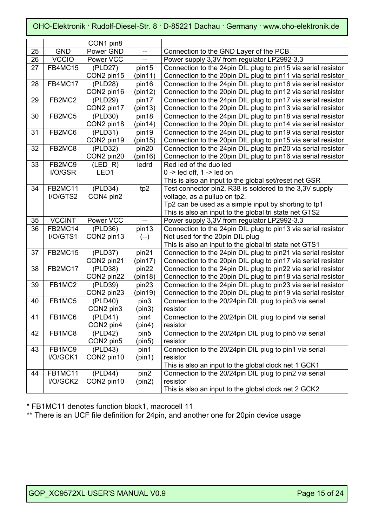#### OHO-Elektronik · Rudolf-Diesel-Str. 8 · D-85221 Dachau · Germany · www.oho-elektronik.de

|    |                | CON1 pin8        |                  |                                                                  |
|----|----------------|------------------|------------------|------------------------------------------------------------------|
| 25 | <b>GND</b>     | Power GND        | $- -$            | Connection to the GND Layer of the PCB                           |
| 26 | <b>VCCIO</b>   | Power VCC        | --               | Power supply 3,3V from regulator LP2992-3.3                      |
| 27 | FB4MC15        | (PLD27)          | pin15            | Connection to the 24pin DIL plug to pin15 via serial resistor    |
|    |                | CON2 pin15       | (pin11)          | Connection to the 20pin DIL plug to pin11 via serial resistor    |
| 28 | FB4MC17        | (PLD28)          | pin16            | Connection to the 24pin DIL plug to pin16 via serial resistor    |
|    |                | CON2 pin16       | (pin12)          | Connection to the 20pin DIL plug to pin12 via serial resistor    |
| 29 | FB2MC2         | (PLD29)          | pin17            | Connection to the 24pin DIL plug to pin17 via serial resistor    |
|    |                | CON2 pin17       | (pin13)          | Connection to the 20pin DIL plug to pin13 via serial resistor    |
| 30 | FB2MC5         | (PLD30)          | pin18            | Connection to the 24pin DIL plug to pin18 via serial resistor    |
|    |                | CON2 pin18       | (pin14)          | Connection to the 20pin DIL plug to pin14 via serial resistor    |
| 31 | FB2MC6         | (PLD31)          | pin19            | Connection to the 24pin DIL plug to pin19 via serial resistor    |
|    |                | CON2 pin19       | (pin15)          | Connection to the 20pin DIL plug to pin15 via serial resistor    |
| 32 | FB2MC8         | (PLD32)          | pin20            | Connection to the 24pin DIL plug to pin20 via serial resistor    |
|    |                | CON2 pin20       | (pin16)          | Connection to the 20pin DIL plug to pin16 via serial resistor    |
| 33 | FB2MC9         | $(LED_R)$        | ledrd            | Red led of the duo led                                           |
|    | I/O/GSR        | LED <sub>1</sub> |                  | $0 \rightarrow$ led off, 1 -> led on                             |
|    |                |                  |                  | This is also an input to the global set/reset net GSR            |
| 34 | <b>FB2MC11</b> | (PLD34)          | tp2              | Test connector pin2, R38 is soldered to the 3,3V supply          |
|    | I/O/GTS2       | CON4 pin2        |                  | voltage, as a pullup on tp2.                                     |
|    |                |                  |                  | Tp2 can be used as a simple input by shorting to tp1             |
|    |                |                  |                  | This is also an input to the global tri state net GTS2           |
| 35 | <b>VCCINT</b>  | Power VCC        | 44               | Power supply 3,3V from regulator LP2992-3.3                      |
|    |                |                  |                  |                                                                  |
| 36 | FB2MC14        | (PLD36)          | pin13            | Connection to the 24pin DIL plug to pin13 via serial resistor    |
|    | I/O/GTS1       | CON2 pin13       | $(--)$           | Not used for the 20pin DIL plug                                  |
|    |                |                  |                  | This is also an input to the global tri state net GTS1           |
| 37 | FB2MC15        | (PLD37)          | pin21            | Connection to the 24pin DIL plug to pin21 via serial resistor    |
|    |                | CON2 pin21       | (pin17)          | Connection to the 20pin DIL plug to pin17 via serial resistor    |
| 38 | <b>FB2MC17</b> | (PLD38)          | pin22            | Connection to the 24pin DIL plug to pin22 via serial resistor    |
|    |                | CON2 pin22       | (pin18)          | Connection to the 20pin DIL plug to pin18 via serial resistor    |
| 39 | FB1MC2         | (PLD39)          | pin23            | Connection to the 24pin DIL plug to pin23 via serial resistor    |
|    |                | CON2 pin23       | (pin19)          | Connection to the 20pin DIL plug to pin19 via serial resistor    |
| 40 | FB1MC5         | (PLD40)          | pin3             | Connection to the 20/24pin DIL plug to pin3 via serial           |
|    |                | CON2 pin3        | (pin3)           | resistor                                                         |
| 41 | FB1MC6         | (PLD41)          | pin4             | Connection to the 20/24pin DIL plug to pin4 via serial           |
|    |                | CON2 pin4        | (pin4)           | resistor                                                         |
| 42 | FB1MC8         | (PLD42)          | pin <sub>5</sub> | Connection to the 20/24pin DIL plug to pin5 via serial           |
|    |                | CON2 pin5        | (pin5)           | resistor                                                         |
| 43 | FB1MC9         | (PLD43)          | pin1             | Connection to the 20/24pin DIL plug to pin1 via serial           |
|    | I/O/GCK1       | CON2 pin10       | (pin1)           | resistor                                                         |
|    |                |                  |                  | This is also an input to the global clock net 1 GCK1             |
| 44 | FB1MC11        | (PLD44)          | pin2             | Connection to the 20/24pin DIL plug to pin2 via serial           |
|    | I/O/GCK2       | CON2 pin10       | (pin2)           | resistor<br>This is also an input to the global clock net 2 GCK2 |

\* FB1MC11 denotes function block1, macrocell 11

\*\* There is an UCF file definition for 24pin, and another one for 20pin device usage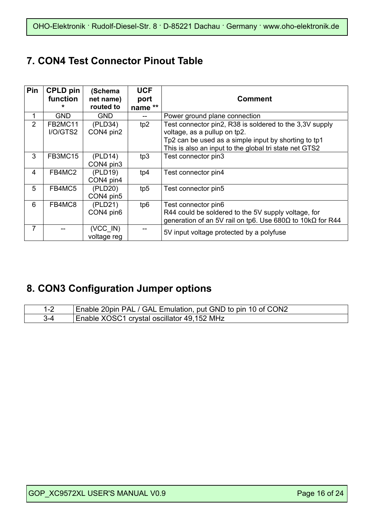### **7. CON4 Test Connector Pinout Table**

| Pin            | <b>CPLD pin</b> | (Schema     | <b>UCF</b>      |                                                                           |
|----------------|-----------------|-------------|-----------------|---------------------------------------------------------------------------|
|                | function        | net name)   | port            | <b>Comment</b>                                                            |
|                | ÷               | routed to   | name **         |                                                                           |
| 1              | <b>GND</b>      | GND.        | --              | Power ground plane connection                                             |
| $\overline{2}$ | FB2MC11         | (PLD34)     | tp <sub>2</sub> | Test connector pin2, R38 is soldered to the 3,3V supply                   |
|                | I/O/GTS2        | CON4 pin2   |                 | voltage, as a pullup on tp2.                                              |
|                |                 |             |                 | Tp2 can be used as a simple input by shorting to tp1                      |
|                |                 |             |                 | This is also an input to the global tri state net GTS2                    |
| 3              | FB3MC15         | (PLD14)     | tp3             | Test connector pin3                                                       |
|                |                 | CON4 pin3   |                 |                                                                           |
| 4              | FB4MC2          | (PLD19)     | tp4             | Test connector pin4                                                       |
|                |                 | CON4 pin4   |                 |                                                                           |
| 5              | FB4MC5          | (PLD20)     | tp5             | Test connector pin5                                                       |
|                |                 | CON4 pin5   |                 |                                                                           |
| 6              | FB4MC8          | (PLD21)     | tp6             | Test connector pin6                                                       |
|                |                 | CON4 pin6   |                 | R44 could be soldered to the 5V supply voltage, for                       |
|                |                 |             |                 | generation of an 5V rail on tp6. Use 680 $\Omega$ to 10k $\Omega$ for R44 |
| $\overline{7}$ |                 | (VCC IN)    |                 | 5V input voltage protected by a polyfuse                                  |
|                |                 | voltage reg |                 |                                                                           |

# **8. CON3 Configuration Jumper options**

|         | Enable 20pin PAL / GAL Emulation, put GND to pin 10 of CON2 |
|---------|-------------------------------------------------------------|
| $3 - 4$ | Enable XOSC1 crystal oscillator 49,152 MHz                  |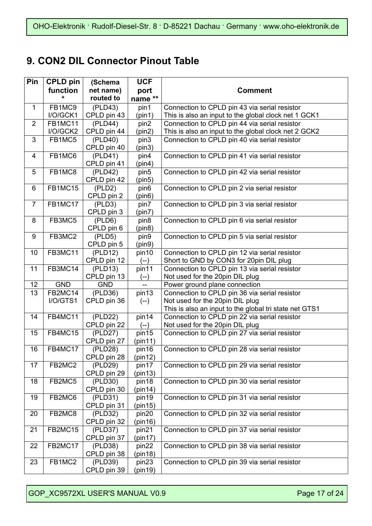# **9. CON2 DIL Connector Pinout Table**

| Pin               | <b>CPLD pin</b> | (Schema                | <b>UCF</b>                   |                                                        |
|-------------------|-----------------|------------------------|------------------------------|--------------------------------------------------------|
|                   | function        | net name)              | port                         | <b>Comment</b>                                         |
|                   | *               | routed to              | name **                      |                                                        |
| $\mathbf{1}$      | FB1MC9          | (PLD43)                | pin1                         | Connection to CPLD pin 43 via serial resistor          |
|                   | I/O/GCK1        | CPLD pin 43            | (pin1)                       | This is also an input to the global clock net 1 GCK1   |
| $\overline{2}$    | FB1MC11         | (PLD44)                | pin2                         | Connection to CPLD pin 44 via serial resistor          |
|                   | I/O/GCK2        | CPLD pin 44            | (pin2)                       | This is also an input to the global clock net 2 GCK2   |
| 3                 | FB1MC5          | (PLD40)                | pin3                         | Connection to CPLD pin 40 via serial resistor          |
|                   |                 | CPLD pin 40            | (pin3)                       |                                                        |
| 4                 | FB1MC6          | (PLD41)                | pin4                         | Connection to CPLD pin 41 via serial resistor          |
|                   |                 | CPLD pin 41            | (pin4)                       |                                                        |
| 5                 | FB1MC8          | (PLD42)                | pin5                         | Connection to CPLD pin 42 via serial resistor          |
|                   |                 | CPLD pin 42            | (pin5)                       |                                                        |
| 6                 | FB1MC15         | (PLD2)                 | pin <sub>6</sub>             | Connection to CPLD pin 2 via serial resistor           |
|                   |                 | CPLD pin 2             | (pin6)                       |                                                        |
| $\overline{7}$    | FB1MC17         | (PLD3)                 | pin7                         | Connection to CPLD pin 3 via serial resistor           |
|                   |                 | CPLD pin 3             | (pin7)                       |                                                        |
| 8                 | FB3MC5          | (PLD6)                 | pin <sub>8</sub>             | Connection to CPLD pin 6 via serial resistor           |
|                   |                 | CPLD pin 6             | (pin8)                       |                                                        |
| 9                 | FB3MC2          | (PLD5)                 | pin9                         | Connection to CPLD pin 5 via serial resistor           |
| 10                | FB3MC11         | CPLD pin 5<br>(PLD12)  | (pin9)<br>pin10              | Connection to CPLD pin 12 via serial resistor          |
|                   |                 | CPLD pin 12            | $(--)$                       | Short to GND by CON3 for 20pin DIL plug                |
| 11                | FB3MC14         | (PLD13)                | pin11                        | Connection to CPLD pin 13 via serial resistor          |
|                   |                 | CPLD pin 13            | $(--)$                       | Not used for the 20pin DIL plug                        |
| $12 \overline{ }$ | <b>GND</b>      | <b>GND</b>             | $-$                          | Power ground plane connection                          |
| 13                | FB2MC14         | (PLD36)                | pin13                        | Connection to CPLD pin 36 via serial resistor          |
|                   | I/O/GTS1        | CPLD pin 36            | $(--)$                       | Not used for the 20pin DIL plug                        |
|                   |                 |                        |                              | This is also an input to the global tri state net GTS1 |
| 14                | FB4MC11         | (PLD22)                | pin14                        | Connection to CPLD pin 22 via serial resistor          |
|                   |                 | CPLD pin 22            | $(--)$                       | Not used for the 20pin DIL plug                        |
| 15                | FB4MC15         | (PLD27)                | pin15                        | Connection to CPLD pin 27 via serial resistor          |
|                   |                 | CPLD pin 27            | (pin11)                      |                                                        |
| 16                | FB4MC17         | (PLD28)                | pin16                        | Connection to CPLD pin 28 via serial resistor          |
|                   |                 | CPLD pin 28            | (pin12)                      |                                                        |
| 17                | FB2MC2          | (PLD29)                | pin17                        | Connection to CPLD pin 29 via serial resistor          |
|                   |                 | CPLD pin 29            | (pin13)                      |                                                        |
| 18                | FB2MC5          | (PLD30)                | pin18                        | Connection to CPLD pin 30 via serial resistor          |
|                   |                 | CPLD pin 30            | (pin14)                      |                                                        |
| 19                | FB2MC6          | (PLD31)                | pin19                        | Connection to CPLD pin 31 via serial resistor          |
|                   |                 | CPLD pin 31            | (pin15)                      |                                                        |
| 20                | FB2MC8          | (PLD32)                | pin20                        | Connection to CPLD pin 32 via serial resistor          |
|                   |                 | CPLD pin 32            | (pin16)                      |                                                        |
| 21                | FB2MC15         | (PLD37)                | pin21                        | Connection to CPLD pin 37 via serial resistor          |
|                   |                 | CPLD pin 37            | (pin17)                      |                                                        |
| 22                | FB2MC17         | (PLD38)                | pin22                        | Connection to CPLD pin 38 via serial resistor          |
|                   |                 | CPLD pin 38            | (pin18)                      |                                                        |
| 23                | FB1MC2          | (PLD39)<br>CPLD pin 39 | pin <sub>23</sub><br>(pin19) | Connection to CPLD pin 39 via serial resistor          |
|                   |                 |                        |                              |                                                        |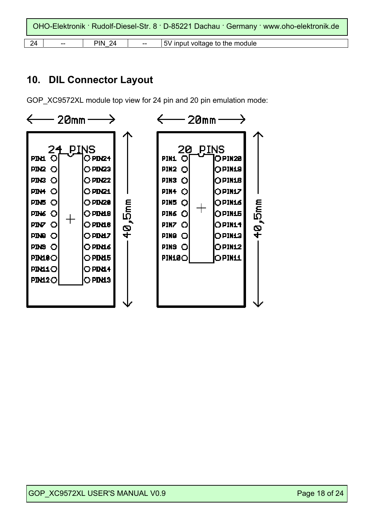| OHO-Elektronik · Rudolf-Diesel-Str. 8 · D-85221 Dachau · Germany · www.oho-elektronik.de |  |
|------------------------------------------------------------------------------------------|--|
|                                                                                          |  |

### **10. DIL Connector Layout**

GOP XC9572XL module top view for 24 pin and 20 pin emulation mode:

 $24$   $-$  PIN\_24  $-$  5V input voltage to the module

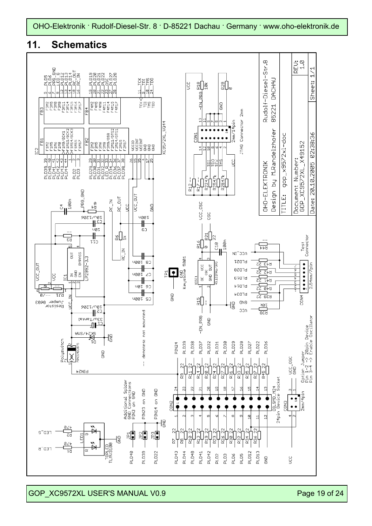

### **11. Schematics**

GOP\_XC9572XL USER'S MANUAL V0.9 Page 19 of 24

OHO-Elektronik · Rudolf-Diesel-Str. 8 · D-85221 Dachau · Germany · www.oho-elektronik.de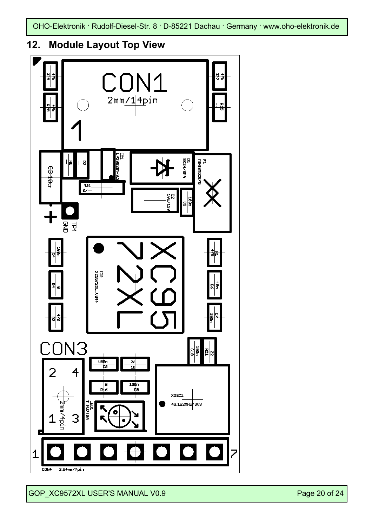OHO-Elektronik · Rudolf-Diesel-Str. 8 · D-85221 Dachau · Germany · www.oho-elektronik.de



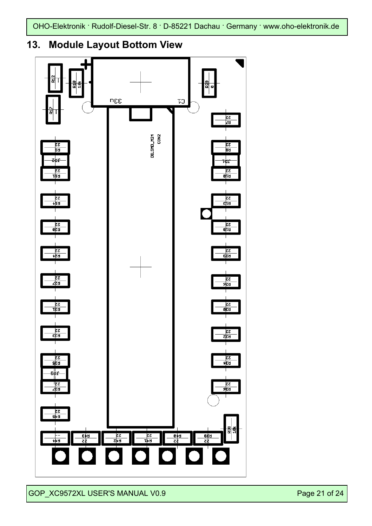OHO-Elektronik · Rudolf-Diesel-Str. 8 · D-85221 Dachau · Germany · www.oho-elektronik.de

### **13. Module Layout Bottom View**



GOP\_XC9572XL USER'S MANUAL V0.9 Page 21 of 24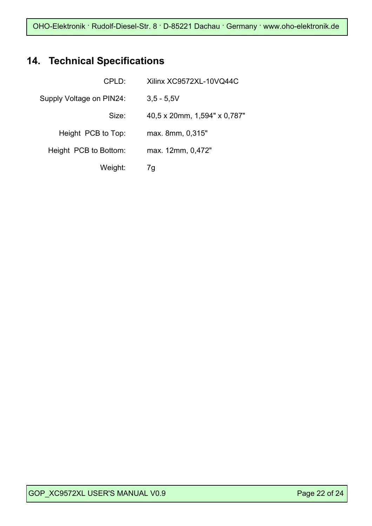# **14. Technical Specifications**

| CPLD:                    | Xilinx XC9572XL-10VQ44C      |
|--------------------------|------------------------------|
| Supply Voltage on PIN24: | $3,5 - 5,5V$                 |
| Size:                    | 40,5 x 20mm, 1,594" x 0,787" |
| Height PCB to Top:       | max. 8mm, 0,315"             |
| Height PCB to Bottom:    | max. 12mm, 0,472"            |
| Weight:                  | 7g                           |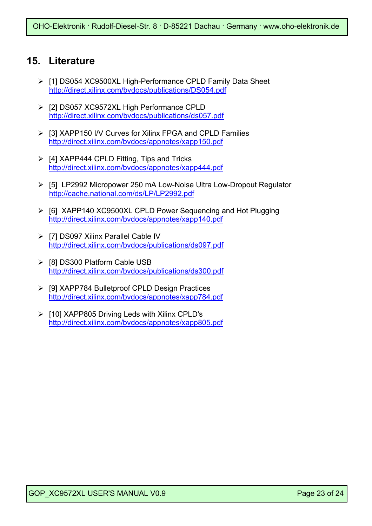#### **15. Literature**

- ¾ [1] DS054 XC9500XL High-Performance CPLD Family Data Sheet http://direct.xilinx.com/bvdocs/publications/DS054.pdf
- ¾ [2] DS057 XC9572XL High Performance CPLD http://direct.xilinx.com/bvdocs/publications/ds057.pdf
- ¾ [3] XAPP150 I/V Curves for Xilinx FPGA and CPLD Families http://direct.xilinx.com/bvdocs/appnotes/xapp150.pdf
- $\triangleright$  [4] XAPP444 CPLD Fitting, Tips and Tricks http://direct.xilinx.com/bvdocs/appnotes/xapp444.pdf
- ¾ [5] LP2992 Micropower 250 mA Low-Noise Ultra Low-Dropout Regulator http://cache.national.com/ds/LP/LP2992.pdf
- ¾ [6] XAPP140 XC9500XL CPLD Power Sequencing and Hot Plugging http://direct.xilinx.com/bvdocs/appnotes/xapp140.pdf
- ¾ [7] DS097 Xilinx Parallel Cable IV http://direct.xilinx.com/bvdocs/publications/ds097.pdf
- ¾ [8] DS300 Platform Cable USB http://direct.xilinx.com/bvdocs/publications/ds300.pdf
- ¾ [9] XAPP784 Bulletproof CPLD Design Practices http://direct.xilinx.com/bvdocs/appnotes/xapp784.pdf
- ¾ [10] XAPP805 Driving Leds with Xilinx CPLD's http://direct.xilinx.com/bvdocs/appnotes/xapp805.pdf